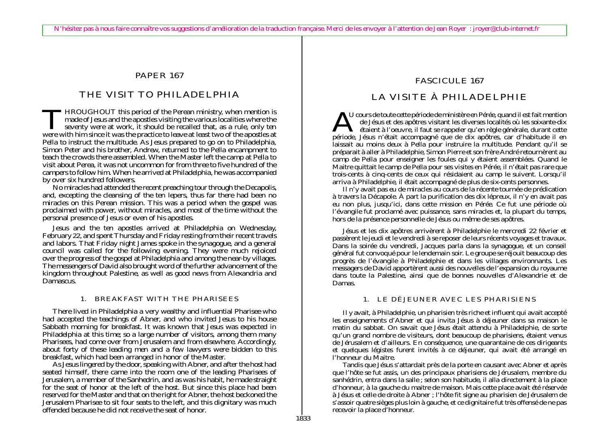### PAPER 167

## THE VISIT TO PHILADELPHIA

THROUGHOUT this period of the Perean ministry, when mention is made of Jesus and the apostles visiting the various localities where the seventy were at work, it should be recalled that, as a rule, only ten were with him since it was the practice to leave at least two of the apostles at Pella to instruct the multitude. As Jesus prepared to go on to Philadelphia, Simon Peter and his brother, Andrew, returned to the Pella encampment to teach the crowds there assembled. When the Master left the camp at Pella to visit about Perea, it was not uncommon for from three to five hundred of the campers to follow him. When he arrived at Philadelphia, he was accompanied by over six hundred followers.

No miracles had attended the recent preaching tour through the Decapolis, and, excepting the cleansing of the ten lepers, thus far there had been no miracles on this Perean mission. This was a period when the gospel was proclaimed with power, without miracles, and most of the time without the personal presence of Jesus or even of his apostles.

Jesus and the ten apostles arrived at Philadelphia on Wednesday, February 22, and spent Thursday and Friday resting from their recent travels and labors. That Friday night James spoke in the synagogue, and a general council was called for the following evening. They were much rejoiced over the progress of the gospel at Philadelphia and among the near-by villages. The messengers of David also brought word of the further advancement of the kingdom throughout Palestine, as well as good news from Alexandria and Damascus.

#### 1. BREAKFAST WITH THE PHARISEES

There lived in Philadelphia a very wealthy and influential Pharisee who had accepted the teachings of Abner, and who invited Jesus to his house Sabbath morning for breakfast. It was known that Jesus was expected in Philadelphia at this time; so a large number of visitors, among them many Pharisees, had come over from Jerusalem and from elsewhere. Accordingly, about forty of these leading men and a few lawyers were bidden to this breakfast, which had been arranged in honor of the Master.

As Jesus lingered by the door, speaking with Abner, and after the host had seated himself, there came into the room one of the leading Pharisees of Jerusalem, a member of the Sanhedrin, and as was his habit, he made straight for the seat of honor at the left of the host. But since this place had been reserved for the Master and that on the right for Abner, the host beckoned the Jerusalem Pharisee to sit four seats to the left, and this dignitary was much offended because he did not receive the seat of honor.

# FASCICULE 167 LA VISITE À PHILADELPHIE

U cours de toute cette période de ministère en Pérée, quand il est fait mention de Jésus et des apôtres visitant les diverses localités où les soixante-dix étaient à l'oeuvre, il faut se rappeler qu'en règle générale, durant cette période, Jésus n'était accompagné que de dix apôtres, car d'habitude il en laissait au moins deux à Pella pour instruire la multitude. Pendant qu'il se préparait à aller à Philadelphie, Simon Pierre et son frère André retournèrent au camp de Pella pour enseigner les foules qui y étaient assemblées. Quand le Maitre quittait le camp de Pella pour ses visites en Pérée, il n'était pas rare que trois-cents à cinq-cents de ceux qui résidaient au camp le suivent. Lorsqu'il arriva à Philadelphie, il était accompagné de plus de six-cents personnes.  $\mathbf{I}$   $\mathbf{I}$ 

à travers la Décapole. À part la purification des dix lépreux, il n'y en avait pas eu non plus, jusqu'ici, dans cette mission en Pérée. Ce fut une période où l'évangile fut proclamé avec puissance, sans miracles et, la plupart du temps, hors de la présence personnelle de Jésus ou même de ses apôtres.

Jésus et les dix apôtres arrivèrent à Philadelphie le mercredi 22 février et passèrent le jeudi et le vendredi à se reposer de leurs récents voyages et travaux. Dans la soirée du vendredi, Jacques parla dans la synagogue, et un conseil général fut convoqué pour le lendemain soir. Le groupe se réjouit beaucoup des progrès de l'évangile à Philadelphie et dans les villages environnants. Les messagers de David apportèrent aussi des nouvelles de l'expansion du royaume dans toute la Palestine, ainsi que de bonnes nouvelles d'Alexandrie et de Damas.

#### 1. LE DÉJEUNER AVEC LES PHARISIENS

Il y avait, à Philadelphie, un pharisien très riche et influent qui avait accepté les enseignements d'Abner et qui invita Jésus à déjeuner dans sa maison le matin du sabbat. On savait que Jésus était attendu à Philadelphie, de sorte qu'un grand nombre de visiteurs, dont beaucoup de pharisiens, étaient venus de Jérusalem et d'ailleurs. En conséquence, une quarantaine de ces dirigeants et quelques légistes furent invités à ce déjeuner, qui avait été arrangé en l'honneur du Maitre.

Tandis que Jésus s'attardait près de la porte en causant avec Abner et après que l'hôte se fut assis, un des principaux pharisiens de Jérusalem, membre du sanhédrin, entra dans la salle ; selon son habitude, il alla directement à la place d'honneur, à la gauche du maitre de maison. Mais cette place avait été réservée à Jésus et celle de droite à Abner ; l'hôte fit signe au pharisien de Jérusalem de s'assoir quatre sièges plus loin à gauche, et ce dignitaire fut très offensé de ne pas recevoir la place d'honneur.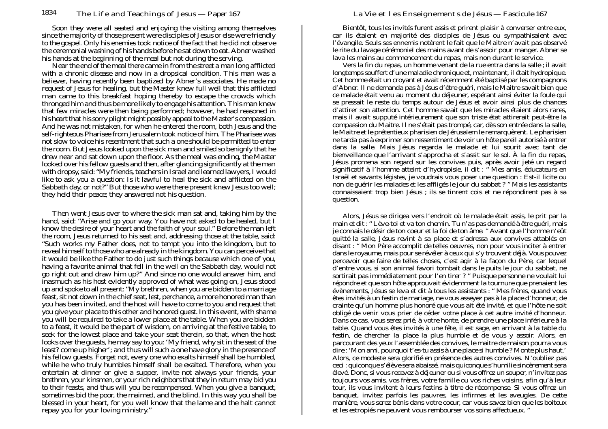Soon they were all seated and enjoying the visiting among themselves since the majority of those present were disciples of Jesus or else were friendly to the gospel. Only his enemies took notice of the fact that he did not observe the ceremonial washing of his hands before he sat down to eat. Abner washed his hands at the beginning of the meal but not during the serving.

Near the end of the meal there came in from the street a man long afflicted with a chronic disease and now in a dropsical condition. This man was a believer, having recently been baptized by Abner's associates. He made no request of Jesus for healing, but the Master knew full well that this afflicted man came to this breakfast hoping thereby to escape the crowds which thronged him and thus be more likely to engage his attention. This man knew that few miracles were then being performed; however, he had reasoned in his heart that his sorry plight might possibly appeal to the Master's compassion. And he was not mistaken, for when he entered the room, both Jesus and the self-righteous Pharisee from Jerusalem took notice of him. The Pharisee was not slow to voice his resentment that such a one should be permitted to enter the room. But Jesus looked upon the sick man and smiled so benignly that he drew near and sat down upon the floor. As the meal was ending, the Master looked over his fellow guests and then, after glancing significantly at the man with dropsy, said: "My friends, teachers in Israel and learned lawyers, I would like to ask you a question: Is it lawful to heal the sick and afflicted on the Sabbath day, or not?" But those who were there present knew Jesus too well; they held their peace; they answered not his question.

Then went Jesus over to where the sick man sat and, taking him by the hand, said: "Arise and go your way. You have not asked to be healed, but I know the desire of your heart and the faith of your soul." Before the man left the room, Jesus returned to his seat and, addressing those at the table, said: "Such works my Father does, not to tempt you into the kingdom, but to reveal himself to those who are already in the kingdom. You can perceive that it would be like the Father to do just such things because which one of you, having a favorite animal that fell in the well on the Sabbath day, would not go right out and draw him up?" And since no one would answer him, and inasmuch as his host evidently approved of what was going on, Jesus stood up and spoke to all present: "My brethren, when you are bidden to a marriage feast, sit not down in the chief seat, lest, perchance, a more honored man than you has been invited, and the host will have to come to you and request that you give your place to this other and honored guest. In this event, with shame you will be required to take a lower place at the table. When you are bidden to a feast, it would be the part of wisdom, on arriving at the festive table, to seek for the lowest place and take your seat therein, so that, when the host looks over the guests, he may say to you: 'My friend, why sit in the seat of the least? come up higher'; and thus will such a one have glory in the presence of his fellow guests. Forget not, every one who exalts himself shall be humbled, while he who truly humbles himself shall be exalted. Therefore, when you entertain at dinner or give a supper, invite not always your friends, your brethren, your kinsmen, or your rich neighbors that they in return may bid you to their feasts, and thus will you be recompensed. When you give a banquet, sometimes bid the poor, the maimed, and the blind. In this way you shall be blessed in your heart, for you well know that the lame and the halt cannot repay you for your loving ministry."

Bientôt, tous les invités furent assis et prirent plaisir à converser entre eux, car ils étaient en majorité des disciples de Jésus ou sympathisaient avec l'évangile. Seuls ses ennemis notèrent le fait que le Maitre n'avait pas observé le rite du lavage cérémoniel des mains avant de s'assoir pour manger. Abner se lava les mains au commencement du repas, mais non durant le service.

Vers la fin du repas, un homme venant de la rue entra dans la salle ; il avait longtemps souffert d'une maladie chronique et, maintenant, il était hydropique. Cet homme était un croyant et avait récemment été baptisé par les compagnons d'Abner. Il ne demanda pas à Jésus d'être guéri, mais le Maitre savait bien que ce malade était venu au moment du déjeuner, espérant ainsi éviter la foule qui se pressait le reste du temps autour de Jésus et avoir ainsi plus de chances d'attirer son attention. Cet homme savait que les miracles étaient alors rares, mais il avait supputé intérieurement que son triste état attirerait peut-être la compassion du Maitre. Il ne s'était pas trompé, car, dès son entrée dans la salle, le Maitre et le prétentieux pharisien de Jérusalem le remarquèrent. Le pharisien ne tarda pas à exprimer son ressentiment de voir un hôte pareil autorisé à entrer dans la salle. Mais Jésus regarda le malade et lui sourit avec tant de bienveillance que l'arrivant s'approcha et s'assit sur le sol. À la fin du repas, Jésus promena son regard sur les convives puis, après avoir jeté un regard significatif à l'homme atteint d'hydropisie, il dit : " Mes amis, éducateurs en Israël et savants légistes, je voudrais vous poser une question : Est-il licite ou non de guérir les malades et les affligés le jour du sabbat ? " Mais les assistants connaissaient trop bien Jésus ; ils se tinrent cois et ne répondirent pas à sa question.

Alors, Jésus se dirigea vers l'endroit où le malade était assis, le prit par la main et dit : " Lève-toi et va ton chemin. Tu n'as pas demandé à être guéri, mais je connais le désir de ton coeur et la foi de ton âme. " Avant que l'homme n'eût quitté la salle, Jésus revint à sa place et s'adressa aux convives attablés en disant : " Mon Père accomplit de telles oeuvres, non pour vous inciter à entrer dans le royaume, mais pour se révéler à ceux qui s'y trouvent déjà. Vous pouvez percevoir que faire de telles choses, c'est agir à la façon du Père, car lequel d'entre vous, si son animal favori tombait dans le puits le jour du sabbat, ne sortirait pas immédiatement pour l'en tirer ? " Puisque personne ne voulait lui répondre et que son hôte approuvait évidemment la tournure que prenaient les évènements, Jésus se leva et dit à tous les assistants : " Mes frères, quand vous êtes invités à un festin de mariage, ne vous asseyez pas à la place d'honneur, de crainte qu'un homme plus honoré que vous ait été invité, et que l'hôte ne soit obligé de venir vous prier de céder votre place à cet autre invité d'honneur. Dans ce cas, vous serez prié, à votre honte, de prendre une place inférieure à la table. Quand vous êtes invités à une fête, il est sage, en arrivant à la table du festin, de chercher la place la plus humble et de vous y assoir. Alors, en parcourant des yeux l'assemblée des convives, le maitre de maison pourra vous dire : 'Mon ami, pourquoi t'es-tu assis à une place si humble ? Monte plus haut.' Alors, ce modeste sera glorifié en présence des autres convives. N'oubliez pas ceci : quiconque s'élève sera abaissé, mais quiconque s'humilie sincèrement sera élevé. Donc, si vous recevez à déjeuner ou si vous offrez un souper, n'invitez pas toujours vos amis, vos frères, votre famille ou vos riches voisins, afin qu'à leur tour, ils vous invitent à leurs festins à titre de récompense. Si vous offrez un banquet, invitez parfois les pauvres, les infirmes et les aveugles. De cette manière, vous serez bénis dans votre coeur, car vous savez bien que les boiteux et les estropiés ne peuvent vous rembourser vos soins affectueux. "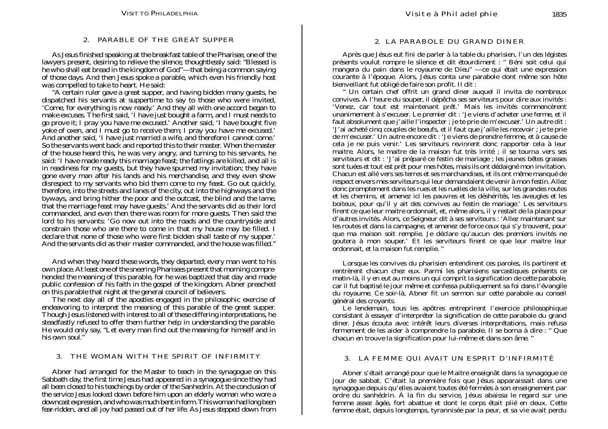#### 2. PARABLE OF THE GREAT SUPPER

As Jesus finished speaking at the breakfast table of the Pharisee, one of the lawyers present, desiring to relieve the silence, thoughtlessly said: "Blessed is he who shall eat bread in the kingdom of God"—that being a common saying of those days. And then Jesus spoke a parable, which even his friendly host was compelled to take to heart. He said:

"A certain ruler gave a great supper, and having bidden many guests, he dispatched his servants at suppertime to say to those who were invited, 'Come, for everything is now ready.' And they all with one accord began to make excuses. The first said, 'I have just bought a farm, and I must needs to go prove it; I pray you have me excused.' Another said, 'I have bought five yoke of oxen, and I must go to receive them; I pray you have me excused.' And another said, 'I have just married a wife, and therefore I cannot come.' So the servants went back and reported this to their master. When the master of the house heard this, he was very angry, and turning to his servants, he said: 'I have made ready this marriage feast; the fatlings are killed, and all is in readiness for my guests, but they have spurned my invitation; they have gone every man after his lands and his merchandise, and they even show disrespect to my servants who bid them come to my feast. Go out quickly, therefore, into the streets and lanes of the city, out into the highways and the byways, and bring hither the poor and the outcast, the blind and the lame, that the marriage feast may have guests.' And the servants did as their lord commanded, and even then there was room for more guests. Then said the lord to his servants: 'Go now out into the roads and the countryside and constrain those who are there to come in that my house may be filled. I declare that none of those who were first bidden shall taste of my supper.' And the servants did as their master commanded, and the house was filled."

And when they heard these words, they departed; every man went to his own place. At least one of the sneering Pharisees present that morning comprehended the meaning of this parable, for he was baptized that day and made public confession of his faith in the gospel of the kingdom. Abner preached on this parable that night at the general council of believers.

The next day all of the apostles engaged in the philosophic exercise of endeavoring to interpret the meaning of this parable of the great supper. Though Jesus listened with interest to all of these differing interpretations, he steadfastly refused to offer them further help in understanding the parable. He would only say, "Let every man find out the meaning for himself and in his own soul.'

#### 3. THE WOMAN WITH THE SPIRIT OF INFIRMITY

Abner had arranged for the Master to teach in the synagogue on this Sabbath day, the first time Jesus had appeared in a synagogue since they had all been closed to his teachings by order of the Sanhedrin. At the conclusion of the service Jesus looked down before him upon an elderly woman who wore a downcast expression, and who was much bent in form. This woman had long been fear-ridden, and all joy had passed out of her life. As Jesus stepped down from

#### 2. LA PARABOLE DU GRAND DINER

Après que Jésus eut fini de parler à la table du pharisien, l'un des légistes présents voulut rompre le silence et dit étourdiment : " Béni soit celui qui mangera du pain dans le royaume de Dieu" —ce qui était une expression courante à l'époque. Alors, Jésus conta une parabole dont même son hôte bienveillant fut obligé de faire son profit. Il dit :

" Un certain chef offrit un grand diner auquel il invita de nombreux convives. À l'heure du souper, il dépêcha ses serviteurs pour dire aux invités : 'Venez, car tout est maintenant prêt.' Mais les invités commencèrent unanimement à s'excuser. Le premier dit : 'Je viens d'acheter une ferme, et il faut absolument que j'aille l'inspecter ; je te prie de m'excuser.' Un autre dit : 'J'ai acheté cinq couples de boeufs, et il faut que j'aille les recevoir ; je te prie de m'excuser.' Un autre encore dit : 'Je viens de prendre femme, et à cause de cela je ne puis venir.' Les serviteurs revinrent donc rapporter cela à leur maitre. Alors, le maitre de la maison fut très irrité ; il se tourna vers ses serviteurs et dit : 'J'ai préparé ce festin de mariage ; les jeunes bêtes grasses sont tuées et tout est prêt pour mes hôtes, mais ils ont dédaigné mon invitation. Chacun est allé vers ses terres et ses marchandises, et ils ont même manqué de respect envers mes serviteurs qui leur demandaient de venir à mon festin. Allez donc promptement dans les rues et les ruelles de la ville, sur les grandes routes et les chemins, et amenez ici les pauvres et les déshérités, les aveugles et les boiteux, pour qu'il y ait des convives au festin de mariage.' Les serviteurs firent ce que leur maitre ordonnait, et, même alors, il y restait de la place pour d'autres invités. Alors, ce Seigneur dit à ses serviteurs : 'Allez maintenant sur les routes et dans la campagne, et amenez de force ceux qui s'y trouvent, pour que ma maison soit remplie. Je déclare qu'aucun des premiers invités ne goutera à mon souper.' Et les serviteurs firent ce que leur maitre leur ordonnait, et la maison fut remplie. "

Lorsque les convives du pharisien entendirent ces paroles, ils partirent et rentrèrent chacun chez eux. Parmi les pharisiens sarcastiques présents ce matin-là, il y en eut au moins un qui comprit la signification de cette parabole, car il fut baptisé le jour même et confessa publiquement sa foi dans l'évangile du royaume. Ce soir-là, Abner fit un sermon sur cette parabole au conseil général des croyants.

Le lendemain, tous les apôtres entreprirent l'exercice philosophique consistant à essayer d'interpréter la signification de cette parabole du grand diner. Jésus écouta avec intérêt leurs diverses interprétations, mais refusa fermement de les aider à comprendre la parabole. Il se borna à dire : " Que chacun en trouve la signification pour lui-même et dans son âme. "

#### 3. LA FEMME QUI AVAIT UN ESPRIT D'INFIRMITÉ

Abner s'était arrangé pour que le Maitre enseignât dans la synagogue ce jour de sabbat. C'était la première fois que Jésus apparaissait dans une ordre du sanhédrin. À la fin du service, Jésus abaissa le regard sur une femme assez âgée, fort abattue et dont le corps était plié en deux. Cette femme était, depuis longtemps, tyrannisée par la peur, et sa vie avait perdu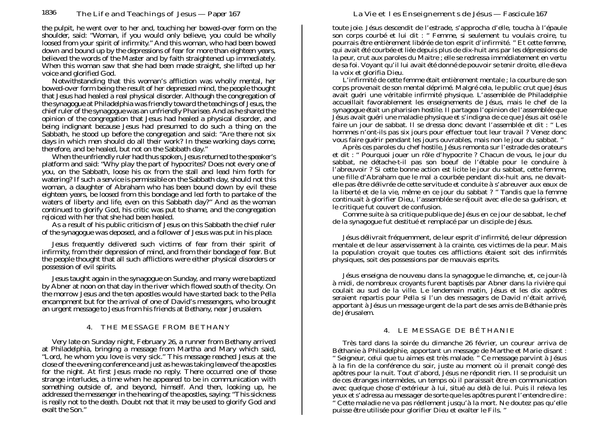the pulpit, he went over to her and, touching her bowed-over form on the shoulder, said: "Woman, if you would only believe, you could be wholly loosed from your spirit of infirmity." And this woman, who had been bowed down and bound up by the depressions of fear for more than eighteen years, believed the words of the Master and by faith straightened up immediately. When this woman saw that she had been made straight, she lifted up her voice and glorified God.

Notwithstanding that this woman's affliction was wholly mental, her bowed-over form being the result of her depressed mind, the people thought that Jesus had healed a real physical disorder. Although the congregation of the synagogue at Philadelphia was friendly toward the teachings of Jesus, the chief ruler of the synagogue was an unfriendly Pharisee. And as he shared the opinion of the congregation that Jesus had healed a physical disorder, and being indignant because Jesus had presumed to do such a thing on the Sabbath, he stood up before the congregation and said: "Are there not six days in which men should do all their work? In these working days come, therefore, and be healed, but not on the Sabbath day."

When the unfriendly ruler had thus spoken, Jesus returned to the speaker's platform and said: "Why play the part of hypocrites? Does not every one of you, on the Sabbath, loose his ox from the stall and lead him forth for watering? If such a service is permissible on the Sabbath day, should not this woman, a daughter of Abraham who has been bound down by evil these eighteen years, be loosed from this bondage and led forth to partake of the waters of liberty and life, even on this Sabbath day?" And as the woman continued to glorify God, his critic was put to shame, and the congregation rejoiced with her that she had been healed.

As a result of his public criticism of Jesus on this Sabbath the chief ruler of the synagogue was deposed, and a follower of Jesus was put in his place.

Jesus frequently delivered such victims of fear from their spirit of infirmity, from their depression of mind, and from their bondage of fear. But the people thought that all such afflictions were either physical disorders or possession of evil spirits.

Jesus taught again in the synagogue on Sunday, and many were baptized by Abner at noon on that day in the river which flowed south of the city. On the morrow Jesus and the ten apostles would have started back to the Pella encampment but for the arrival of one of David's messengers, who brought an urgent message to Jesus from his friends at Bethany, near Jerusalem.

#### 4. THE MESSAGE FROM BETHANY

Very late on Sunday night, February 26, a runner from Bethany arrived at Philadelphia, bringing a message from Martha and Mary which said, "Lord, he whom you love is very sick." This message reached Jesus at the close of the evening conference and just as he was taking leave of the apostles for the night. At first Jesus made no reply. There occurred one of those strange interludes, a time when he appeared to be in communication with something outside of, and beyond, himself. And then, looking up, he addressed the messenger in the hearing of the apostles, saying: "This sickness is really not to the death. Doubt not that it may be used to glorify God and exalt the Son."

toute joie. Jésus descendit de l'estrade, s'approcha d'elle, toucha à l'épaule son corps courbé et lui dit : " Femme, si seulement tu voulais croire, tu pourrais être entièrement libérée de ton esprit d'infirmité. " Et cette femme, qui avait été courbée et liée depuis plus de dix-huit ans par les dépressions de la peur, crut aux paroles du Maitre ; elle se redressa immédiatement en vertu de sa foi. Voyant qu'il lui avait été donné de pouvoir se tenir droite, elle éleva la voix et glorifia Dieu.

L'infirmité de cette femme était entièrement mentale ; la courbure de son corps provenait de son mental déprimé. Malgré cela, le public crut que Jésus avait guéri une véritable infirmité physique. L'assemblée de Philadelphie accueillait favorablement les enseignements de Jésus, mais le chef de la synagogue était un pharisien hostile. Il partagea l'opinion de l'assemblée que Jésus avait guéri une maladie physique et s'indigna de ce que Jésus ait osé le faire un jour de sabbat. Il se dressa donc devant l'assemblée et dit : " Les hommes n'ont-ils pas six jours pour effectuer tout leur travail ? Venez donc vous faire guérir pendant les jours ouvrables, mais non le jour du sabbat. "

Après ces paroles du chef hostile, Jésus remonta sur l'estrade des orateurs et dit : " Pourquoi jouer un rôle d'hypocrite ? Chacun de vous, le jour du sabbat, ne détache-t-il pas son boeuf de l'étable pour le conduire à l'abreuvoir ? Si cette bonne action est licite le jour du sabbat, cette femme, une fille d'Abraham que le mal a courbée pendant dix-huit ans, ne devaitelle pas être délivrée de cette servitude et conduite à s'abreuver aux eaux de la liberté et de la vie, même en ce jour du sabbat ? " Tandis que la femme continuait à glorifier Dieu, l'assemblée se réjouit avec elle de sa guérison, et le critique fut couvert de confusion.

Comme suite à sa critique publique de Jésus en ce jour de sabbat, le chef de la synagogue fut destitué et remplacé par un disciple de Jésus.

Jésus délivrait fréquemment, de leur esprit d'infirmité, de leur dépression mentale et de leur asservissement à la crainte, ces victimes de la peur. Mais la population croyait que toutes ces afflictions étaient soit des infirmités physiques, soit des possessions par de mauvais esprits.

Jésus enseigna de nouveau dans la synagogue le dimanche, et, ce jour-là à midi, de nombreux croyants furent baptisés par Abner dans la rivière qui coulait au sud de la ville. Le lendemain matin, Jésus et les dix apôtres seraient repartis pour Pella si l'un des messagers de David n'était arrivé, apportant à Jésus un message urgent de la part de ses amis de Béthanie près de Jérusalem.

### 4. LE MESSAGE DE BÉTHANIE

Très tard dans la soirée du dimanche 26 février, un coureur arriva de Béthanie à Philadelphie, apportant un message de Marthe et Marie disant : " Seigneur, celui que tu aimes est très malade. " Ce message parvint à Jésus à la fin de la conférence du soir, juste au moment où il prenait congé des apôtres pour la nuit. Tout d'abord, Jésus ne répondit rien. Il se produisit un de ces étranges intermèdes, un temps où il paraissait être en communication avec quelque chose d'extérieur à lui, situé au delà de lui. Puis il releva les yeux et s'adressa au messager de sorte que les apôtres purent l'entendre dire :

" Cette maladie ne va pas réellement jusqu'à la mort. Ne doutez pas qu'elle puisse être utilisée pour glorifier Dieu et exalter le Fils. "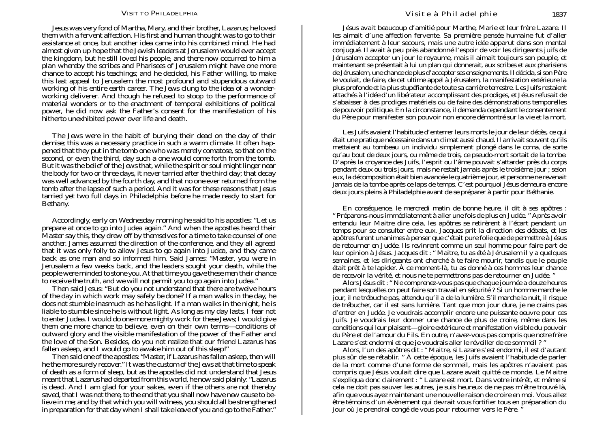#### VISIT TO PHILADELPHIA

Jesus was very fond of Martha, Mary, and their brother, Lazarus; he loved them with a fervent affection. His first and human thought was to go to their assistance at once, but another idea came into his combined mind. He had almost given up hope that the Jewish leaders at Jerusalem would ever accept the kingdom, but he still loved his people, and there now occurred to him a plan whereby the scribes and Pharisees of Jerusalem might have one more chance to accept his teachings; and he decided, his Father willing, to make this last appeal to Jerusalem the most profound and stupendous outward working of his entire earth career. The Jews clung to the idea of a wonderworking deliverer. And though he refused to stoop to the performance of material wonders or to the enactment of temporal exhibitions of political power, he did now ask the Father's consent for the manifestation of his hitherto unexhibited power over life and death.

The Jews were in the habit of burying their dead on the day of their demise; this was a necessary practice in such a warm climate. It often happened that they put in the tomb one who was merely comatose, so that on the second, or even the third, day such a one would come forth from the tomb. But it was the belief of the Jews that, while the spirit or soul might linger near the body for two or three days, it never tarried after the third day; that decay was well advanced by the fourth day, and that no one ever returned from the tomb after the lapse of such a period. And it was for these reasons that Jesus tarried yet two full days in Philadelphia before he made ready to start for Bethany.

Accordingly, early on Wednesday morning he said to his apostles: "Let us prepare at once to go into Judea again." And when the apostles heard their Master say this, they drew off by themselves for a time to take counsel of one another. James assumed the direction of the conference, and they all agreed that it was only folly to allow Jesus to go again into Judea, and they came back as one man and so informed him. Said James: "Master, you were in Jerusalem a few weeks back, and the leaders sought your death, while the people were minded to stone you. At that time you gave these men their chance to receive the truth, and we will not permit you to go again into Judea."

Then said Jesus: "But do you not understand that there are twelve hours of the day in which work may safely be done? If a man walks in the day, he does not stumble inasmuch as he has light. If a man walks in the night, he is liable to stumble since he is without light. As long as my day lasts, I fear not to enter Judea. I would do one more mighty work for these Jews; I would give them one more chance to believe, even on their own terms—conditions of outward glory and the visible manifestation of the power of the Father and the love of the Son. Besides, do you not realize that our friend Lazarus has fallen asleep, and I would go to awake him out of this sleep!"

Then said one of the apostles: "Master, if Lazarus has fallen asleep, then will he the more surely recover." It was the custom of the Jews at that time to speak of death as a form of sleep, but as the apostles did not understand that Jesus meant that Lazarus had departed from this world, he now said plainly: "Lazarus is dead. And I am glad for your sakes, even if the others are not thereby saved, that I was not there, to the end that you shall now have new cause to believe in me; and by that which you will witness, you should all be strengthened in preparation for that day when I shall take leave of you and go to the Father."

Jésus avait beaucoup d'amitié pour Marthe, Marie et leur frère Lazare. Il les aimait d'une affection fervente. Sa première pensée humaine fut d'aller immédiatement à leur secours, mais une autre idée apparut dans son mental conjugué. Il avait à peu près abandonné l'espoir de voir les dirigeants juifs de Jérusalem accepter un jour le royaume, mais il aimait toujours son peuple, et maintenant se présentait à lui un plan qui donnerait, aux scribes et aux pharisiens de Jérusalem, une chance de plus d'accepter ses enseignements. Il décida, si son Père le voulait, de faire, de cet ultime appel à Jérusalem, la manifestation extérieure la plus profonde et la plus stupéfiante de toute sa carrière terrestre. Les Juifs restaient attachés à l'idée d'un libérateur accomplissant des prodiges, et Jésus refusait de s'abaisser à des prodiges matériels ou de faire des démonstrations temporelles de pouvoir politique. En la circonstance, il demanda cependant le consentement du Père pour manifester son pouvoir non encore démontré sur la vie et la mort.

Les Juifs avaient l'habitude d'enterrer leurs morts le jour de leur décès, ce qui était une pratique nécessaire dans un climat aussi chaud. Il arrivait souvent qu'ils mettaient au tombeau un individu simplement plongé dans le coma, de sorte qu'au bout de deux jours, ou même de trois, ce pseudo-mort sortait de la tombe. D'après la croyance des Juifs, l'esprit ou l'âme pouvait s'attarder près du corps pendant deux ou trois jours, mais ne restait jamais après le troisième jour ; selon eux, la décomposition était bien avancée le quatrième jour, et personne ne revenait jamais de la tombe après ce laps de temps. C'est pourquoi Jésus demeura encore deux jours pleins à Philadelphie avant de se préparer à partir pour Béthanie.

En conséquence, le mercredi matin de bonne heure, il dit à ses apôtres : " Préparons-nous immédiatement à aller une fois de plus en Judée. " Après avoir entendu leur Maitre dire cela, les apôtres se retirèrent à l'écart pendant un temps pour se consulter entre eux. Jacques prit la direction des débats, et les apôtres furent unanimes à penser que c'était pure folie que de permettre à Jésus de retourner en Judée. Ils revinrent comme un seul homme pour faire part de leur opinion à Jésus. Jacques dit : " Maitre, tu as été à Jérusalem il y a quelques semaines, et les dirigeants ont cherché à te faire mourir, tandis que le peuple était prêt à te lapider. À ce moment-là, tu as donné à ces hommes leur chance de recevoir la vérité, et nous ne te permettrons pas de retourner en Judée. "

Alors Jésus dit : " Ne comprenez-vous pas que chaque journée a douze heures pendant lesquelles on peut faire son travail en sécurité ? Si un homme marche le jour, il ne trébuche pas, attendu qu'il a de la lumière. S'il marche la nuit, il risque de trébucher, car il est sans lumière. Tant que mon jour dure, je ne crains pas d'entrer en Judée. Je voudrais accomplir encore une puissante oeuvre pour ces Juifs. Je voudrais leur donner une chance de plus de croire, même dans les conditions qui leur plaisent—gloire extérieure et manifestation visible du pouvoir du Père et de l'amour du Fils. En outre, n'avez-vous pas compris que notre frère Lazare s'est endormi et que je voudrais aller le réveiller de ce sommeil ? "

Alors, l'un des apôtres dit : " Maitre, si Lazare s'est endormi, il est d'autant plus sûr de se rétablir. " À cette époque, les Juifs avaient l'habitude de parler de la mort comme d'une forme de sommeil, mais les apôtres n'avaient pas compris que Jésus voulait dire que Lazare avait quitté ce monde. Le Maitre s'expliqua donc clairement : " Lazare est mort. Dans votre intérêt, et même si cela ne doit pas sauver les autres, je suis heureux de ne pas m'être trouvé là, afin que vous ayez maintenant une nouvelle raison de croire en moi. Vous allez être témoins d'un évènement qui devrait vous fortifier tous en préparation du jour où je prendrai congé de vous pour retourner vers le Père. "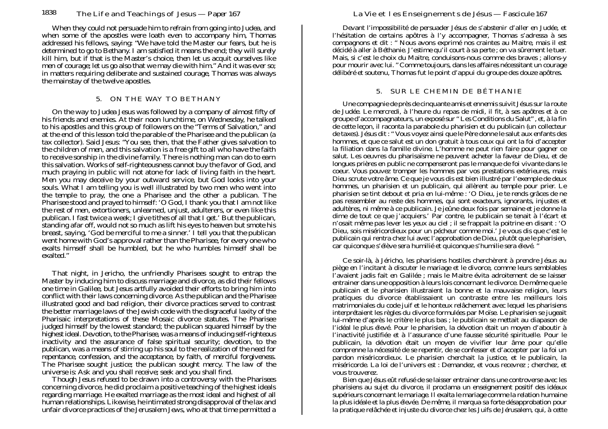When they could not persuade him to refrain from going into Judea, and when some of the apostles were loath even to accompany him, Thomas addressed his fellows, saying: "We have told the Master our fears, but he is determined to go to Bethany. I am satisfied it means the end; they will surely kill him, but if that is the Master's choice, then let us acquit ourselves like men of courage; let us go also that we may die with him." And it was ever so; in matters requiring deliberate and sustained courage, Thomas was always the mainstay of the twelve apostles.

#### 5. ON THE WAY TO BETHANY

On the way to Judea Jesus was followed by a company of almost fifty of his friends and enemies. At their noon lunchtime, on Wednesday, he talked to his apostles and this group of followers on the "Terms of Salvation," and at the end of this lesson told the parable of the Pharisee and the publican (a tax collector). Said Jesus: "You see, then, that the Father gives salvation to the children of men, and this salvation is a free gift to all who have the faith to receive sonship in the divine family. There is nothing man can do to earn this salvation. Works of self-righteousness cannot buy the favor of God, and much praying in public will not atone for lack of living faith in the heart. Men you may deceive by your outward service, but God looks into your souls. What I am telling you is well illustrated by two men who went into the temple to pray, the one a Pharisee and the other a publican. The Pharisee stood and prayed to himself: 'O God, I thank you that I am not like the rest of men, extortioners, unlearned, unjust, adulterers, or even like this publican. I fast twice a week; I give tithes of all that I get.' But the publican, standing afar off, would not so much as lift his eyes to heaven but smote his breast, saying, 'God be merciful to me a sinner.' I tell you that the publican went home with God's approval rather than the Pharisee, for every one who exalts himself shall be humbled, but he who humbles himself shall be exalted."

That night, in Jericho, the unfriendly Pharisees sought to entrap the Master by inducing him to discuss marriage and divorce, as did their fellows one time in Galilee, but Jesus artfully avoided their efforts to bring him into conflict with their laws concerning divorce. As the publican and the Pharisee illustrated good and bad religion, their divorce practices served to contrast the better marriage laws of the Jewish code with the disgraceful laxity of the Pharisaic interpretations of these Mosaic divorce statutes. The Pharisee judged himself by the lowest standard; the publican squared himself by the highest ideal. Devotion, to the Pharisee, was a means of inducing self-righteous inactivity and the assurance of false spiritual security; devotion, to the publican, was a means of stirring up his soul to the realization of the need for repentance, confession, and the acceptance, by faith, of merciful forgiveness. The Pharisee sought justice; the publican sought mercy. The law of the universe is: Ask and you shall receive; seek and you shall find.

Though Jesus refused to be drawn into a controversy with the Pharisees concerning divorce, he did proclaim a positive teaching of the highest ideals regarding marriage. He exalted marriage as the most ideal and highest of all human relationships. Likewise, he intimated strong disapproval of the lax and unfair divorce practices of the Jerusalem Jews, who at that time permitted a

Devant l'impossibilité de persuader Jésus de s'abstenir d'aller en Judée, et l'hésitation de certains apôtres à l'y accompagner, Thomas s'adressa à ses compagnons et dit : " Nous avons exprimé nos craintes au Maitre, mais il est décidé à aller à Béthanie. J'estime qu'il court à sa perte ; on va sûrement le tuer. Mais, si c'est le choix du Maitre, conduisons-nous comme des braves ; allons-y pour mourir avec lui. " Comme toujours, dans les affaires nécessitant un courage délibéré et soutenu, Thomas fut le point d'appui du groupe des douze apôtres.

#### 5. SUR LE CHEMIN DE BÉTHANIE

Une compagnie de près de cinquante amis et ennemis suivit Jésus sur la route de Judée. Le mercredi, à l'heure du repas de midi, il fit, à ses apôtres et à ce groupe d'accompagnateurs, un exposé sur " Les Conditions du Salut" , et, à la fin de cette leçon, il raconta la parabole du pharisien et du publicain (un collecteur de taxes). Jésus dit : " Vous voyez ainsi que le Père donne le salut aux enfants des hommes, et que ce salut est un don gratuit à tous ceux qui ont la foi d'accepter la filiation dans la famille divine. L'homme ne peut rien faire pour gagner ce salut. Les oeuvres du pharisaïsme ne peuvent acheter la faveur de Dieu, et de longues prières en public ne compenseront pas le manque de foi vivante dans le coeur. Vous pouvez tromper les hommes par vos prestations extérieures, mais Dieu scrute votre âme. Ce que je vous dis est bien illustré par l'exemple de deux hommes, un pharisien et un publicain, qui allèrent au temple pour prier. Le pharisien se tint debout et pria en lui-même : 'O Dieu, je te rends grâces de ne pas ressembler au reste des hommes, qui sont exacteurs, ignorants, injustes et adultères, ni même à ce publicain. Je jeûne deux fois par semaine et je donne la dime de tout ce que j'acquiers.' Par contre, le publicain se tenait à l'écart et n'osait même pas lever les yeux au ciel ; il se frappait la poitrine en disant : 'O Dieu, sois miséricordieux pour un pécheur comme moi.' Je vous dis que c'est le publicain qui rentra chez lui avec l'approbation de Dieu, plutôt que le pharisien, car quiconque s'élève sera humilié et quiconque s'humilie sera élevé. "

Ce soir-là, à Jéricho, les pharisiens hostiles cherchèrent à prendre Jésus au piège en l'incitant à discuter le mariage et le divorce, comme leurs semblables l'avaient jadis fait en Galilée ; mais le Maitre évita adroitement de se laisser entrainer dans une opposition à leurs lois concernant le divorce. De même que le publicain et le pharisien illustraient la bonne et la mauvaise religion, leurs pratiques du divorce établissaient un contraste entre les meilleurs lois matrimoniales du code juif et le honteux relâchement avec lequel les pharisiens interprétaient les règles du divorce formulées par Moïse. Le pharisien se jugeait lui-même d'après le critère le plus bas ; le publicain se mettait au diapason de l'idéal le plus élevé. Pour le pharisien, la dévotion était un moyen d'aboutir à l'inactivité justifiée et à l'assurance d'une fausse sécurité spirituelle. Pour le publicain, la dévotion était un moyen de vivifier leur âme pour qu'elle comprenne la nécessité de se repentir, de se confesser et d'accepter par la foi un pardon miséricordieux. Le pharisien cherchait la justice, et le publicain, la miséricorde. La loi de l'univers est : Demandez, et vous recevrez ; cherchez, et vous trouverez.

Bien que Jésus eût refusé de se laisser entrainer dans une controverse avec les pharisiens au sujet du divorce, il proclama un enseignement positif des idéaux supérieurs concernant le mariage. Il exalta le mariage comme la relation humaine la plus idéale et la plus élevée. De même, il marqua sa forte désapprobation pour la pratique relâchée et injuste du divorce chez les Juifs de Jérusalem, qui, à cette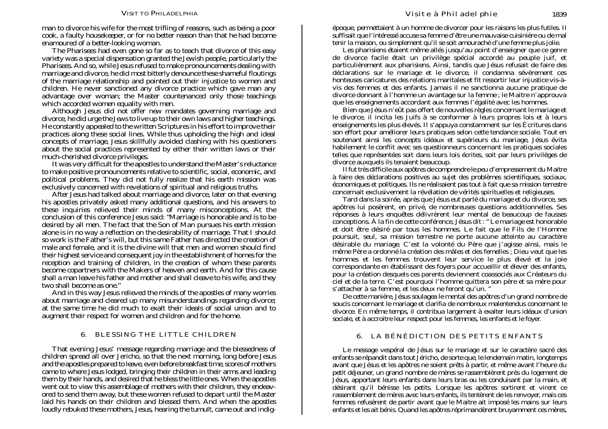#### VISIT TO PHILADELPHIA

man to divorce his wife for the most trifling of reasons, such as being a poor cook, a faulty housekeeper, or for no better reason than that he had become enamoured of a better-looking woman.

The Pharisees had even gone so far as to teach that divorce of this easy variety was a special dispensation granted the Jewish people, particularly the Pharisees. And so, while Jesus refused to make pronouncements dealing with marriage and divorce, he did most bitterly denounce these shameful floutings of the marriage relationship and pointed out their injustice to women and children. He never sanctioned any divorce practice which gave man any advantage over woman; the Master countenanced only those teachings which accorded women equality with men.

Although Jesus did not offer new mandates governing marriage and divorce, he did urge the Jews to live up to their own laws and higher teachings. He constantly appealed to the written Scriptures in his effort to improve their practices along these social lines. While thus upholding the high and ideal concepts of marriage, Jesus skillfully avoided clashing with his questioners about the social practices represented by either their written laws or their much-cherished divorce privileges.

It was very difficult for the apostles to understand the Master's reluctance to make positive pronouncements relative to scientific, social, economic, and political problems. They did not fully realize that his earth mission was exclusively concerned with revelations of spiritual and religious truths.

After Jesus had talked about marriage and divorce, later on that evening his apostles privately asked many additional questions, and his answers to these inquiries relieved their minds of many misconceptions. At the conclusion of this conference Jesus said: "Marriage is honorable and is to be desired by all men. The fact that the Son of Man pursues his earth mission alone is in no way a reflection on the desirability of marriage. That I should so work is the Father's will, but this same Father has directed the creation of male and female, and it is the divine will that men and women should find their highest service and consequent joy in the establishment of homes for the reception and training of children, in the creation of whom these parents become copartners with the Makers of heaven and earth. And for this cause shall a man leave his father and mother and shall cleave to his wife, and they two shall become as one."

And in this way Jesus relieved the minds of the apostles of many worries about marriage and cleared up many misunderstandings regarding divorce; at the same time he did much to exalt their ideals of social union and to augment their respect for women and children and for the home.

#### 6. BLESSING THE LITTLE CHILDREN

That evening Jesus' message regarding marriage and the blessedness of children spread all over Jericho, so that the next morning, long before Jesus and the apostles prepared to leave, even before breakfast time, scores of mothers came to where Jesus lodged, bringing their children in their arms and leading them by their hands, and desired that he bless the little ones. When the apostles went out to view this assemblage of mothers with their children, they endeavored to send them away, but these women refused to depart until the Master laid his hands on their children and blessed them. And when the apostles loudly rebuked these mothers, Jesus, hearing the tumult, came out and indigépoque, permettaient à un homme de divorcer pour les raisons les plus futiles. Il suffisait que l'intéressé accuse sa femme d'être une mauvaise cuisinière ou de mal tenir la maison, ou simplement qu'il se soit amouraché d'une femme plus jolie.

Les pharisiens étaient même allés jusqu'au point d'enseigner que ce genre de divorce facile était un privilège spécial accordé au peuple juif, et particulièrement aux pharisiens. Ainsi, tandis que Jésus refusait de faire des déclarations sur le mariage et le divorce, il condamna sévèrement ces honteuses caricatures des relations maritales et fit ressortir leur injustice vis-àvis des femmes et des enfants. Jamais il ne sanctionna aucune pratique de divorce donnant à l'homme un avantage sur la femme ; le Maitre n'approuva que les enseignements accordant aux femmes l'égalité avec les hommes.

Bien que Jésus n'eût pas offert de nouvelles règles concernant le mariage et le divorce, il incita les Juifs à se conformer à leurs propres lois et à leurs enseignements les plus élevés. Il s'appuya constamment sur les Écritures dans son effort pour améliorer leurs pratiques selon cette tendance sociale. Tout en soutenant ainsi les concepts idéaux et supérieurs du mariage, Jésus évita habilement le conflit avec ses questionneurs concernant les pratiques sociales telles que représentées soit dans leurs lois écrites, soit par leurs privilèges de divorce auxquels ils tenaient beaucoup.

Il fut très difficile aux apôtres de comprendre le peu d'empressement du Maitre à faire des déclarations positives au sujet des problèmes scientifiques, sociaux, économiques et politiques. Ils ne réalisaient pas tout à fait que sa mission terrestre concernait exclusivement la révélation de vérités spirituelles et religieuses.

Tard dans la soirée, après que Jésus eut parlé du mariage et du divorce, ses apôtres lui posèrent, en privé, de nombreuses questions additionnelles. Ses réponses à leurs enquêtes délivrèrent leur mental de beaucoup de fausses conceptions. À la fin de cette conférence, Jésus dit : " Le mariage est honorable et doit être désiré par tous les hommes. Le fait que le Fils de l'Homme poursuit, seul, sa mission terrestre ne porte aucune atteinte au caractère désirable du mariage. C'est la volonté du Père que j'agisse ainsi, mais le même Père a ordonné la création des mâles et des femelles ; Dieu veut que les hommes et les femmes trouvent leur service le plus élevé et la joie correspondante en établissant des foyers pour accueillir et élever des enfants, pour la création desquels ces parents deviennent coassociés aux Créateurs du ciel et de la terre. C'est pourquoi l'homme quittera son père et sa mère pour s'attacher à sa femme, et les deux ne feront qu'un. '

De cette manière, Jésus soulagea le mental des apôtres d'un grand nombre de soucis concernant le mariage et clarifia de nombreux malentendus concernant le divorce. En même temps, il contribua largement à exalter leurs idéaux d'union sociale, et à accroitre leur respect pour les femmes, les enfants et le foyer.

#### 6. LA BÉNÉDICTION DES PETITS ENFANTS

Le message vespéral de Jésus sur le mariage et sur le caractère sacré des enfants se répandit dans tout Jéricho, de sorte que, le lendemain matin, longtemps avant que Jésus et les apôtres ne soient prêts à partir, et même avant l'heure du petit déjeuner, un grand nombre de mères se rassemblèrent près du logement de Jésus, apportant leurs enfants dans leurs bras ou les conduisant par la main, et désirant qu'il bénisse les petits. Lorsque les apôtres sortirent et virent ce rassemblement de mères avec leurs enfants, ils tentèrent de les renvoyer, mais ces femmes refusèrent de partir avant que le Maitre ait imposé les mains sur leurs enfants et les ait bénis. Quand les apôtres réprimandèrent bruyamment ces mères,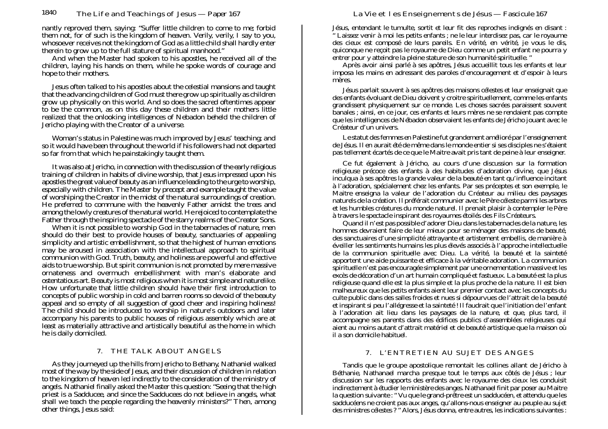#### <sup>1840</sup> The Life and Teachings of Jesus — *Paper <sup>167</sup>* La Vie et les Enseignements de Jésus — *Fascicule <sup>167</sup>*

nantly reproved them, saying: "Suffer little children to come to me; forbid them not, for of such is the kingdom of heaven. Verily, verily, I say to you, whosoever receives not the kingdom of God as a little child shall hardly enter therein to grow up to the full stature of spiritual manhood."

And when the Master had spoken to his apostles, he received all of the children, laying his hands on them, while he spoke words of courage and hope to their mothers.

Jesus often talked to his apostles about the celestial mansions and taught that the advancing children of God must there grow up spiritually as children grow up physically on this world. And so does the sacred oftentimes appear to be the common, as on this day these children and their mothers little realized that the onlooking intelligences of Nebadon beheld the children of Jericho playing with the Creator of a universe.

Woman's status in Palestine was much improved by Jesus' teaching; and so it would have been throughout the world if his followers had not departed so far from that which he painstakingly taught them.

It was also at Jericho, in connection with the discussion of the early religious training of children in habits of divine worship, that Jesus impressed upon his apostles the great value of beauty as an influence leading to the urge to worship, especially with children. The Master by precept and example taught the value of worshiping the Creator in the midst of the natural surroundings of creation. He preferred to commune with the heavenly Father amidst the trees and among the lowly creatures of the natural world. He rejoiced to contemplate the Father through the inspiring spectacle of the starry realms of the Creator Sons.

When it is not possible to worship God in the tabernacles of nature, men should do their best to provide houses of beauty, sanctuaries of appealing simplicity and artistic embellishment, so that the highest of human emotions may be aroused in association with the intellectual approach to spiritual communion with God. Truth, beauty, and holiness are powerful and effective aids to true worship. But spirit communion is not promoted by mere massive ornateness and overmuch embellishment with man's elaborate and ostentatious art. Beauty is most religious when it is most simple and naturelike. How unfortunate that little children should have their first introduction to concepts of public worship in cold and barren rooms so devoid of the beauty appeal and so empty of all suggestion of good cheer and inspiring holiness! The child should be introduced to worship in nature's outdoors and later accompany his parents to public houses of religious assembly which are at least as materially attractive and artistically beautiful as the home in which he is daily domiciled.

#### 7. THE TALK ABOUT ANGELS

As they journeyed up the hills from Jericho to Bethany, Nathaniel walked most of the way by the side of Jesus, and their discussion of children in relation to the kingdom of heaven led indirectly to the consideration of the ministry of angels. Nathaniel finally asked the Master this question: "Seeing that the high priest is a Sadducee, and since the Sadducees do not believe in angels, what shall we teach the people regarding the heavenly ministers?" Then, among other things, Jesus said:

Jésus, entendant le tumulte, sortit et leur fit des reproches indignés en disant : " Laissez venir à moi les petits enfants ; ne le leur interdisez pas, car le royaume des cieux est composé de leurs pareils. En vérité, en vérité, je vous le dis, quiconque ne reçoit pas le royaume de Dieu comme un petit enfant ne pourra y entrer pour y atteindre la pleine stature de son humanité spirituelle. "

Après avoir ainsi parlé à ses apôtres, Jésus accueillit tous les enfants et leur imposa les mains en adressant des paroles d'encouragement et d'espoir à leurs mères.

Jésus parlait souvent à ses apôtres des maisons célestes et leur enseignait que des enfants évoluant de Dieu doivent y croitre spirituellement, comme les enfants grandissent physiquement sur ce monde. Les choses sacrées paraissent souvent banales ; ainsi, en ce jour, ces enfants et leurs mères ne se rendaient pas compte que les intelligences de Nébadon observaient les enfants de Jéricho jouant avec le Créateur d'un univers.

Le statut des femmes en Palestine fut grandement amélioré par l'enseignement de Jésus. Il en aurait été de même dans le monde entier si ses disciples ne s'étaient pas tellement écartés de ce que le Maitre avait pris tant de peine à leur enseigner.

Ce fut également à Jéricho, au cours d'une discussion sur la formation religieuse précoce des enfants à des habitudes d'adoration divine, que Jésus inculqua à ses apôtres la grande valeur de la beauté en tant qu'influence incitant à l'adoration, spécialement chez les enfants. Par ses préceptes et son exemple, le Maitre enseigna la valeur de l'adoration du Créateur au milieu des paysages naturels de la création. Il préférait communier avec le Père céleste parmi les arbres et les humbles créatures du monde naturel. Il prenait plaisir à contempler le Père à travers le spectacle inspirant des royaumes étoilés des Fils Créateurs.

Quand il n'est pas possible d'adorer Dieu dans les tabernacles de la nature, les hommes devraient faire de leur mieux pour se ménager des maisons de beauté, des sanctuaires d'une simplicité attrayante et artistement embellis, de manière à éveiller les sentiments humains les plus élevés associés à l'approche intellectuelle de la communion spirituelle avec Dieu. La vérité, la beauté et la sainteté apportent une aide puissante et efficace à la véritable adoration. La communion spirituelle n'est pas encouragée simplement par une ornementation massive et les excès de décoration d'un art humain compliqué et fastueux. La beauté est la plus religieuse quand elle est la plus simple et la plus proche de la nature. Il est bien malheureux que les petits enfants aient leur premier contact avec les concepts du culte public dans des salles froides et nues si dépourvues de l'attrait de la beauté et inspirant si peu l'allégresse et la sainteté ! Il faudrait que l'initiation de l'enfant à l'adoration ait lieu dans les paysages de la nature, et que, plus tard, il accompagne ses parents dans des édifices publics d'assemblées religieuses qui aient au moins autant d'attrait matériel et de beauté artistique que la maison où il a son domicile habituel.

#### 7. L'ENTRETIEN AU SUJET DES ANGES

Tandis que le groupe apostolique remontait les collines allant de Jéricho à Béthanie, Nathanael marcha presque tout le temps aux côtés de Jésus ; leur discussion sur les rapports des enfants avec le royaume des cieux les conduisit indirectement à étudier le ministère des anges. Nathanael finit par poser au Maitre la question suivante : " Vu que le grand-prêtre est un sadducéen, et attendu que les sadducéens ne croient pas aux anges, qu'allons-nous enseigner au peuple au sujet des ministres célestes ? " Alors, Jésus donna, entre autres, les indications suivantes :